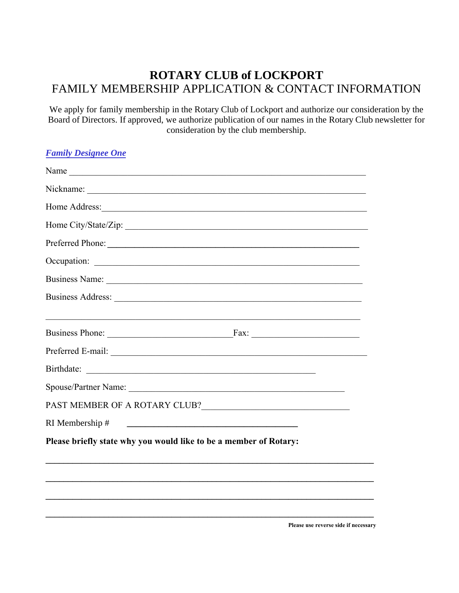# **ROTARY CLUB of LOCKPORT**  FAMILY MEMBERSHIP APPLICATION & CONTACT INFORMATION

We apply for family membership in the Rotary Club of Lockport and authorize our consideration by the Board of Directors. If approved, we authorize publication of our names in the Rotary Club newsletter for consideration by the club membership.

*Family Designee One*

| Name                                                                                                                                                                                                                          |  |  |
|-------------------------------------------------------------------------------------------------------------------------------------------------------------------------------------------------------------------------------|--|--|
| Nickname:                                                                                                                                                                                                                     |  |  |
|                                                                                                                                                                                                                               |  |  |
|                                                                                                                                                                                                                               |  |  |
| Preferred Phone:                                                                                                                                                                                                              |  |  |
|                                                                                                                                                                                                                               |  |  |
| Business Name: 1988. Contract to the contract of the contract of the contract of the contract of the contract of the contract of the contract of the contract of the contract of the contract of the contract of the contract |  |  |
|                                                                                                                                                                                                                               |  |  |
|                                                                                                                                                                                                                               |  |  |
|                                                                                                                                                                                                                               |  |  |
|                                                                                                                                                                                                                               |  |  |
|                                                                                                                                                                                                                               |  |  |
| Spouse/Partner Name:                                                                                                                                                                                                          |  |  |
|                                                                                                                                                                                                                               |  |  |
| RI Membership #<br><u> 1980 - Johann Barn, mars and de Brasilian (b. 1980)</u>                                                                                                                                                |  |  |
| Please briefly state why you would like to be a member of Rotary:                                                                                                                                                             |  |  |
|                                                                                                                                                                                                                               |  |  |
|                                                                                                                                                                                                                               |  |  |
|                                                                                                                                                                                                                               |  |  |
|                                                                                                                                                                                                                               |  |  |

**Please use reverse side if necessary**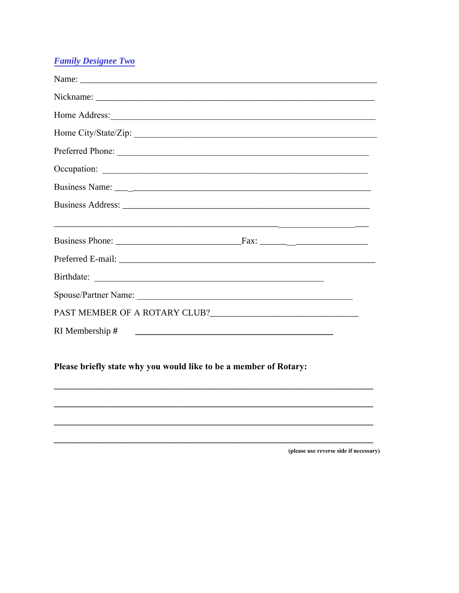## **Family Designee Two**

| RI Membership #<br><u> 1980 - Johann Stoff, fransk konger og det forskellige og det forskellige og det forskellige og det forskellig</u> |  |  |
|------------------------------------------------------------------------------------------------------------------------------------------|--|--|
|                                                                                                                                          |  |  |
| Please briefly state why you would like to be a member of Rotary:                                                                        |  |  |
|                                                                                                                                          |  |  |

(please use reverse side if necessary)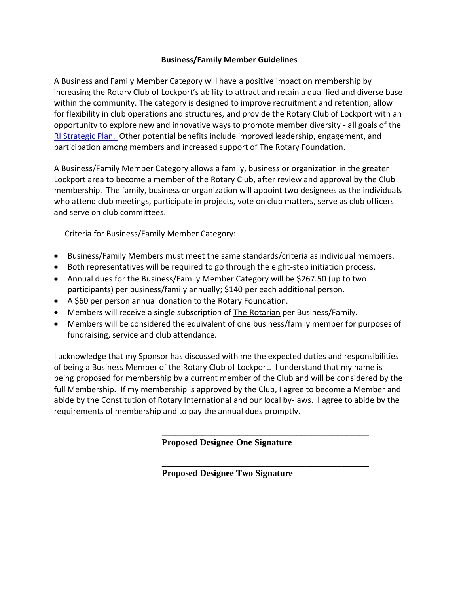### **Business/Family Member Guidelines**

A Business and Family Member Category will have a positive impact on membership by increasing the Rotary Club of Lockport's ability to attract and retain a qualified and diverse base within the community. The category is designed to improve recruitment and retention, allow for flexibility in club operations and structures, and provide the Rotary Club of Lockport with an opportunity to explore new and innovative ways to promote member diversity - all goals of the [RI Strategic Plan.](http://www.rotary.org/en/AboutUs/RotaryInternational/StrategicPlanning/Pages/ridefault.aspx) Other potential benefits include improved leadership, engagement, and participation among members and increased support of The Rotary Foundation.

A Business/Family Member Category allows a family, business or organization in the greater Lockport area to become a member of the Rotary Club, after review and approval by the Club membership. The family, business or organization will appoint two designees as the individuals who attend club meetings, participate in projects, vote on club matters, serve as club officers and serve on club committees.

## Criteria for Business/Family Member Category:

- Business/Family Members must meet the same standards/criteria as individual members.
- Both representatives will be required to go through the eight-step initiation process.
- Annual dues for the Business/Family Member Category will be \$267.50 (up to two participants) per business/family annually; \$140 per each additional person.
- A \$60 per person annual donation to the Rotary Foundation.
- Members will receive a single subscription of The Rotarian per Business/Family.
- Members will be considered the equivalent of one business/family member for purposes of fundraising, service and club attendance.

I acknowledge that my Sponsor has discussed with me the expected duties and responsibilities of being a Business Member of the Rotary Club of Lockport. I understand that my name is being proposed for membership by a current member of the Club and will be considered by the full Membership. If my membership is approved by the Club, I agree to become a Member and abide by the Constitution of Rotary International and our local by-laws. I agree to abide by the requirements of membership and to pay the annual dues promptly.

**Proposed Designee One Signature**

**\_\_\_\_\_\_\_\_\_\_\_\_\_\_\_\_\_\_\_\_\_\_\_\_\_\_\_\_\_\_\_\_\_\_\_\_\_\_\_\_\_\_\_\_\_\_**

**\_\_\_\_\_\_\_\_\_\_\_\_\_\_\_\_\_\_\_\_\_\_\_\_\_\_\_\_\_\_\_\_\_\_\_\_\_\_\_\_\_\_\_\_\_\_**

**Proposed Designee Two Signature**